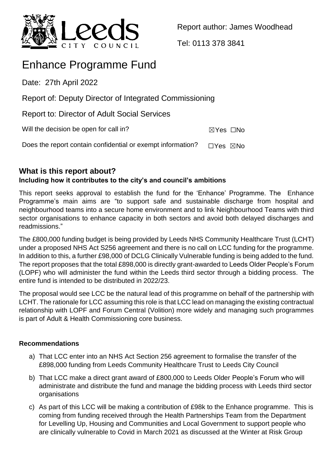

Report author: James Woodhead

Tel: 0113 378 3841

# Enhance Programme Fund

Date: 27th April 2022

Report of: Deputy Director of Integrated Commissioning

Report to: Director of Adult Social Services

Will the decision be open for call in?  $\boxtimes$  Yes  $\Box$ No

Does the report contain confidential or exempt information?  $\Box$ Yes  $\boxtimes$ No

# **What is this report about?**

# **Including how it contributes to the city's and council's ambitions**

This report seeks approval to establish the fund for the 'Enhance' Programme. The Enhance Programme's main aims are "to support safe and sustainable discharge from hospital and neighbourhood teams into a secure home environment and to link Neighbourhood Teams with third sector organisations to enhance capacity in both sectors and avoid both delayed discharges and readmissions."

The £800,000 funding budget is being provided by Leeds NHS Community Healthcare Trust (LCHT) under a proposed NHS Act S256 agreement and there is no call on LCC funding for the programme. In addition to this, a further £98,000 of DCLG Clinically Vulnerable funding is being added to the fund. The report proposes that the total £898,000 is directly grant-awarded to Leeds Older People's Forum (LOPF) who will administer the fund within the Leeds third sector through a bidding process. The entire fund is intended to be distributed in 2022/23.

The proposal would see LCC be the natural lead of this programme on behalf of the partnership with LCHT. The rationale for LCC assuming this role is that LCC lead on managing the existing contractual relationship with LOPF and Forum Central (Volition) more widely and managing such programmes is part of Adult & Health Commissioning core business.

# **Recommendations**

- a) That LCC enter into an NHS Act Section 256 agreement to formalise the transfer of the £898,000 funding from Leeds Community Healthcare Trust to Leeds City Council
- b) That LCC make a direct grant award of £800,000 to Leeds Older People's Forum who will administrate and distribute the fund and manage the bidding process with Leeds third sector organisations
- c) As part of this LCC will be making a contribution of £98k to the Enhance programme. This is coming from funding received through the Health Partnerships Team from the Department for Levelling Up, Housing and Communities and Local Government to support people who are clinically vulnerable to Covid in March 2021 as discussed at the Winter at Risk Group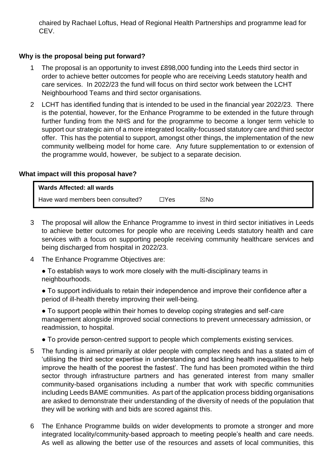chaired by Rachael Loftus, Head of Regional Health Partnerships and programme lead for CEV.

## **Why is the proposal being put forward?**

- 1 The proposal is an opportunity to invest £898,000 funding into the Leeds third sector in order to achieve better outcomes for people who are receiving Leeds statutory health and care services. In 2022/23 the fund will focus on third sector work between the LCHT Neighbourhood Teams and third sector organisations.
- 2 LCHT has identified funding that is intended to be used in the financial year 2022/23. There is the potential, however, for the Enhance Programme to be extended in the future through further funding from the NHS and for the programme to become a longer term vehicle to support our strategic aim of a more integrated locality-focussed statutory care and third sector offer. This has the potential to support, amongst other things, the implementation of the new community wellbeing model for home care. Any future supplementation to or extension of the programme would, however, be subject to a separate decision.

#### **What impact will this proposal have?**

| Wards Affected: all wards         |            |     |  |
|-----------------------------------|------------|-----|--|
| Have ward members been consulted? | $\Box$ Yes | ⊠No |  |

- 3 The proposal will allow the Enhance Programme to invest in third sector initiatives in Leeds to achieve better outcomes for people who are receiving Leeds statutory health and care services with a focus on supporting people receiving community healthcare services and being discharged from hospital in 2022/23.
- 4 The Enhance Programme Objectives are:
	- To establish ways to work more closely with the multi-disciplinary teams in neighbourhoods.
	- To support individuals to retain their independence and improve their confidence after a period of ill-health thereby improving their well-being.

● To support people within their homes to develop coping strategies and self-care management alongside improved social connections to prevent unnecessary admission, or readmission, to hospital.

- To provide person-centred support to people which complements existing services.
- 5 The funding is aimed primarily at older people with complex needs and has a stated aim of 'utilising the third sector expertise in understanding and tackling health inequalities to help improve the health of the poorest the fastest'. The fund has been promoted within the third sector through infrastructure partners and has generated interest from many smaller community-based organisations including a number that work with specific communities including Leeds BAME communities. As part of the application process bidding organisations are asked to demonstrate their understanding of the diversity of needs of the population that they will be working with and bids are scored against this.
- 6 The Enhance Programme builds on wider developments to promote a stronger and more integrated locality/community-based approach to meeting people's health and care needs. As well as allowing the better use of the resources and assets of local communities, this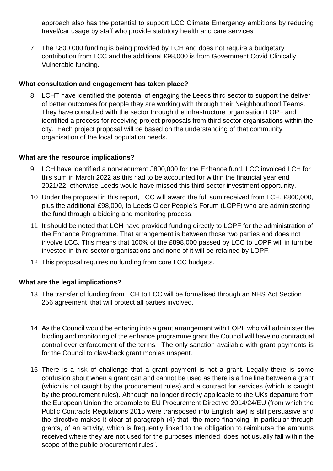approach also has the potential to support LCC Climate Emergency ambitions by reducing travel/car usage by staff who provide statutory health and care services

7 The £800,000 funding is being provided by LCH and does not require a budgetary contribution from LCC and the additional £98,000 is from Government Covid Clinically Vulnerable funding.

## **What consultation and engagement has taken place?**

LCHT have identified the potential of engaging the Leeds third sector to support the deliver of better outcomes for people they are working with through their Neighbourhood Teams. They have consulted with the sector through the infrastructure organisation LOPF and identified a process for receiving project proposals from third sector organisations within the city. Each project proposal will be based on the understanding of that community organisation of the local population needs.

## **What are the resource implications?**

- 9 LCH have identified a non-recurrent £800,000 for the Enhance fund. LCC invoiced LCH for this sum in March 2022 as this had to be accounted for within the financial year end 2021/22, otherwise Leeds would have missed this third sector investment opportunity.
- 10 Under the proposal in this report, LCC will award the full sum received from LCH, £800,000, plus the additional £98,000, to Leeds Older People's Forum (LOPF) who are administering the fund through a bidding and monitoring process.
- 11 It should be noted that LCH have provided funding directly to LOPF for the administration of the Enhance Programme. That arrangement is between those two parties and does not involve LCC. This means that 100% of the £898,000 passed by LCC to LOPF will in turn be invested in third sector organisations and none of it will be retained by LOPF.
- 12 This proposal requires no funding from core LCC budgets.

# **What are the legal implications?**

- 13 The transfer of funding from LCH to LCC will be formalised through an NHS Act Section 256 agreement that will protect all parties involved.
- 14 As the Council would be entering into a grant arrangement with LOPF who will administer the bidding and monitoring of the enhance programme grant the Council will have no contractual control over enforcement of the terms. The only sanction available with grant payments is for the Council to claw-back grant monies unspent.
- 15 There is a risk of challenge that a grant payment is not a grant. Legally there is some confusion about when a grant can and cannot be used as there is a fine line between a grant (which is not caught by the procurement rules) and a contract for services (which is caught by the procurement rules). Although no longer directly applicable to the UKs departure from the European Union the preamble to EU Procurement Directive 2014/24/EU (from which the Public Contracts Regulations 2015 were transposed into English law) is still persuasive and the directive makes it clear at paragraph (4) that "the mere financing, in particular through grants, of an activity, which is frequently linked to the obligation to reimburse the amounts received where they are not used for the purposes intended, does not usually fall within the scope of the public procurement rules".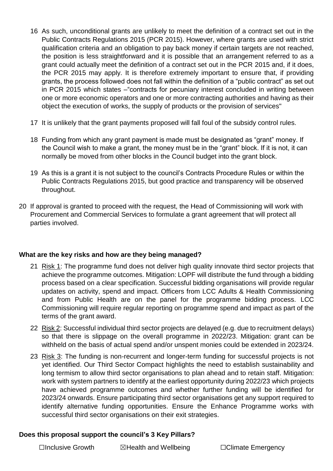- 16 As such, unconditional grants are unlikely to meet the definition of a contract set out in the Public Contracts Regulations 2015 (PCR 2015). However, where grants are used with strict qualification criteria and an obligation to pay back money if certain targets are not reached, the position is less straightforward and it is possible that an arrangement referred to as a grant could actually meet the definition of a contract set out in the PCR 2015 and, if it does, the PCR 2015 may apply. It is therefore extremely important to ensure that, if providing grants, the process followed does not fall within the definition of a "public contract" as set out in PCR 2015 which states –"contracts for pecuniary interest concluded in writing between one or more economic operators and one or more contracting authorities and having as their object the execution of works, the supply of products or the provision of services"
- 17 It is unlikely that the grant payments proposed will fall foul of the subsidy control rules.
- 18 Funding from which any grant payment is made must be designated as "grant" money. If the Council wish to make a grant, the money must be in the "grant" block. If it is not, it can normally be moved from other blocks in the Council budget into the grant block.
- 19 As this is a grant it is not subject to the council's Contracts Procedure Rules or within the Public Contracts Regulations 2015, but good practice and transparency will be observed throughout.
- 20 If approval is granted to proceed with the request, the Head of Commissioning will work with Procurement and Commercial Services to formulate a grant agreement that will protect all parties involved.

## **What are the key risks and how are they being managed?**

- 21 Risk 1: The programme fund does not deliver high quality innovate third sector projects that achieve the programme outcomes. Mitigation: LOPF will distribute the fund through a bidding process based on a clear specification. Successful bidding organisations will provide regular updates on activity, spend and impact. Officers from LCC Adults & Health Commissioning and from Public Health are on the panel for the programme bidding process. LCC Commissioning will require regular reporting on programme spend and impact as part of the terms of the grant award.
- 22 Risk 2: Successful individual third sector projects are delayed (e.g. due to recruitment delays) so that there is slippage on the overall programme in 2022/23. Mitigation: grant can be withheld on the basis of actual spend and/or unspent monies could be extended in 2023/24.
- 23 Risk 3: The funding is non-recurrent and longer-term funding for successful projects is not yet identified. Our Third Sector Compact highlights the need to establish sustainability and long termism to allow third sector organisations to plan ahead and to retain staff. Mitigation: work with system partners to identify at the earliest opportunity during 2022/23 which projects have achieved programme outcomes and whether further funding will be identified for 2023/24 onwards. Ensure participating third sector organisations get any support required to identify alternative funding opportunities. Ensure the Enhance Programme works with successful third sector organisations on their exit strategies.

#### **Does this proposal support the council's 3 Key Pillars?**